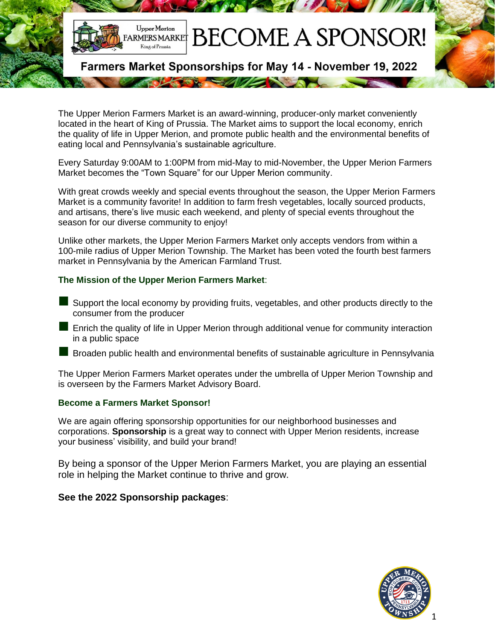

The Upper Merion Farmers Market is an award-winning, producer-only market conveniently located in the heart of King of Prussia. The Market aims to support the local economy, enrich the quality of life in Upper Merion, and promote public health and the environmental benefits of eating local and Pennsylvania's sustainable agriculture.

Every Saturday 9:00AM to 1:00PM from mid-May to mid-November, the Upper Merion Farmers Market becomes the "Town Square" for our Upper Merion community.

With great crowds weekly and special events throughout the season, the Upper Merion Farmers Market is a community favorite! In addition to farm fresh vegetables, locally sourced products, and artisans, there's live music each weekend, and plenty of special events throughout the season for our diverse community to enjoy!

Unlike other markets, the Upper Merion Farmers Market only accepts vendors from within a 100-mile radius of Upper Merion Township. The Market has been voted the fourth best farmers market in Pennsylvania by the American Farmland Trust.

#### **The Mission of the Upper Merion Farmers Market**:

- Support the local economy by providing fruits, vegetables, and other products directly to the consumer from the producer
- Enrich the quality of life in Upper Merion through additional venue for community interaction in a public space
- Broaden public health and environmental benefits of sustainable agriculture in Pennsylvania

The Upper Merion Farmers Market operates under the umbrella of Upper Merion Township and is overseen by the Farmers Market Advisory Board.

#### **Become a Farmers Market Sponsor!**

We are again offering sponsorship opportunities for our neighborhood businesses and corporations. **Sponsorship** is a great way to connect with Upper Merion residents, increase your business' visibility, and build your brand!

By being a sponsor of the Upper Merion Farmers Market, you are playing an essential role in helping the Market continue to thrive and grow.

#### **See the 2022 Sponsorship packages**:

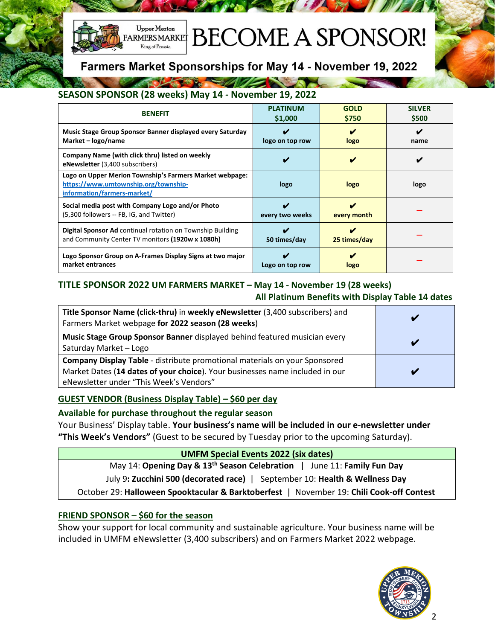

# **BECOME A SPONSOR!**

Farmers Market Sponsorships for May 14 - November 19, 2022

### **SEASON SPONSOR (28 weeks) May 14 - November 19, 2022**

The street of the state of the state of the state of the state of the state of the state of the state of the state of the state of the state of the state of the state of the state of the state of the state of the state of

| <b>BENEFIT</b>                                                                                                                 | <b>PLATINUM</b> | <b>GOLD</b>  | <b>SILVER</b> |
|--------------------------------------------------------------------------------------------------------------------------------|-----------------|--------------|---------------|
|                                                                                                                                | \$1,000         | \$750        | \$500         |
| Music Stage Group Sponsor Banner displayed every Saturday                                                                      | ✔               | ✔            | V             |
| Market – logo/name                                                                                                             | logo on top row | logo         | name          |
| Company Name (with click thru) listed on weekly<br><b>eNewsletter</b> (3,400 subscribers)                                      |                 | ✔            | V             |
| Logo on Upper Merion Township's Farmers Market webpage:<br>https://www.umtownship.org/township-<br>information/farmers-market/ | logo            | logo         | logo          |
| Social media post with Company Logo and/or Photo                                                                               | V               | V            |               |
| (5,300 followers -- FB, IG, and Twitter)                                                                                       | every two weeks | every month  |               |
| <b>Digital Sponsor Ad</b> continual rotation on Township Building                                                              | V               | v            |               |
| and Community Center TV monitors (1920w x 1080h)                                                                               | 50 times/day    | 25 times/day |               |
| Logo Sponsor Group on A-Frames Display Signs at two major                                                                      | V               | v            |               |
| market entrances                                                                                                               | Logo on top row | logo         |               |

#### **TITLE SPONSOR 2022 UM FARMERS MARKET – May 14 - November 19 (28 weeks) All Platinum Benefits with Display Table 14 dates**

| Title Sponsor Name (click-thru) in weekly eNewsletter (3,400 subscribers) and<br>Farmers Market webpage for 2022 season (28 weeks)                                                                    |                         |
|-------------------------------------------------------------------------------------------------------------------------------------------------------------------------------------------------------|-------------------------|
| Music Stage Group Sponsor Banner displayed behind featured musician every<br>Saturday Market - Logo                                                                                                   |                         |
| Company Display Table - distribute promotional materials on your Sponsored<br>Market Dates (14 dates of your choice). Your businesses name included in our<br>eNewsletter under "This Week's Vendors" | $\overline{\mathbf{a}}$ |

#### **GUEST VENDOR (Business Display Table) – \$60 per day**

#### **Available for purchase throughout the regular season**

Your Business' Display table. **Your business's name will be included in our e-newsletter under "This Week's Vendors"** (Guest to be secured by Tuesday prior to the upcoming Saturday).

> **UMFM Special Events 2022 (six dates)** May 14: **Opening Day & 13 th Season Celebration** | June 11: **Family Fun Day**

July 9**: Zucchini 500 (decorated race)** | September 10: **Health & Wellness Day**

October 29: **Halloween Spooktacular & Barktoberfest** | November 19: **Chili Cook-off Contest**

#### **FRIEND SPONSOR – \$60 for the season**

Show your support for local community and sustainable agriculture. Your business name will be included in UMFM eNewsletter (3,400 subscribers) and on Farmers Market 2022 webpage.

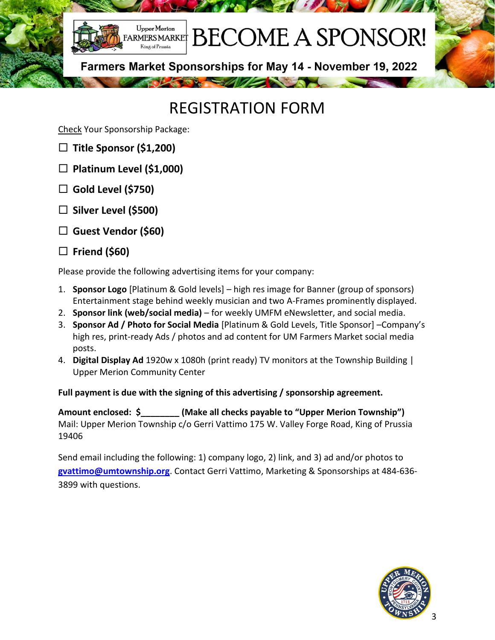

# REGISTRATION FORM

Check Your Sponsorship Package:

- **Title Sponsor (\$1,200)**
- **Platinum Level (\$1,000)**
- **Gold Level (\$750)**
- **Silver Level (\$500)**
- **Guest Vendor (\$60)**
- **Friend (\$60)**

Please provide the following advertising items for your company:

- 1. **Sponsor Logo** [Platinum & Gold levels] high res image for Banner (group of sponsors) Entertainment stage behind weekly musician and two A-Frames prominently displayed.
- 2. **Sponsor link (web/social media)** for weekly UMFM eNewsletter, and social media.
- 3. **Sponsor Ad / Photo for Social Media** [Platinum & Gold Levels, Title Sponsor] –Company's high res, print-ready Ads / photos and ad content for UM Farmers Market social media posts.
- 4. **Digital Display Ad** 1920w x 1080h (print ready) TV monitors at the Township Building | Upper Merion Community Center

### **Full payment is due with the signing of this advertising / sponsorship agreement.**

**Amount enclosed: \$\_\_\_\_\_\_\_\_ (Make all checks payable to "Upper Merion Township")**  Mail: Upper Merion Township c/o Gerri Vattimo 175 W. Valley Forge Road, King of Prussia 19406

Send email including the following: 1) company logo, 2) link, and 3) ad and/or photos to **[gvattimo@umtownship.org](mailto:gvattimo@umtownship.org)**. Contact Gerri Vattimo, Marketing & Sponsorships at 484-636- 3899 with questions.